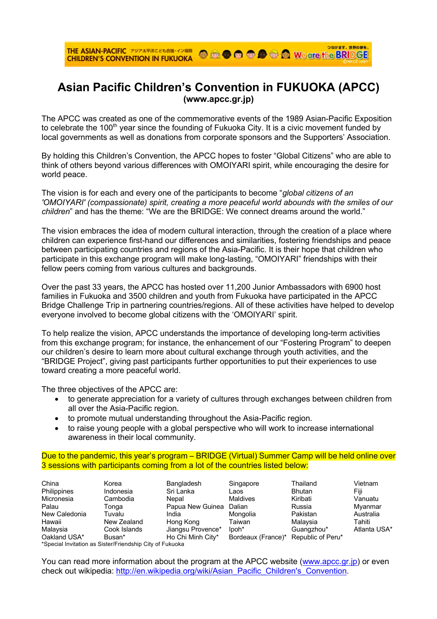## **Asian Pacific Children's Convention in FUKUOKA (APCC) (www.apcc.gr.jp)**

The APCC was created as one of the commemorative events of the 1989 Asian-Pacific Exposition to celebrate the 100<sup>th</sup> year since the founding of Fukuoka City. It is a civic movement funded by local governments as well as donations from corporate sponsors and the Supporters' Association.

By holding this Children's Convention, the APCC hopes to foster "Global Citizens" who are able to think of others beyond various differences with OMOIYARI spirit, while encouraging the desire for world peace.

The vision is for each and every one of the participants to become "*global citizens of an 'OMOIYARI' (compassionate) spirit, creating a more peaceful world abounds with the smiles of our children*" and has the theme: "We are the BRIDGE: We connect dreams around the world."

The vision embraces the idea of modern cultural interaction, through the creation of a place where children can experience first-hand our differences and similarities, fostering friendships and peace between participating countries and regions of the Asia-Pacific. It is their hope that children who participate in this exchange program will make long-lasting, "OMOIYARI" friendships with their fellow peers coming from various cultures and backgrounds.

Over the past 33 years, the APCC has hosted over 11,200 Junior Ambassadors with 6900 host families in Fukuoka and 3500 children and youth from Fukuoka have participated in the APCC Bridge Challenge Trip in partnering countries/regions. All of these activities have helped to develop everyone involved to become global citizens with the 'OMOIYARI' spirit.

To help realize the vision, APCC understands the importance of developing long-term activities from this exchange program; for instance, the enhancement of our "Fostering Program" to deepen our children's desire to learn more about cultural exchange through youth activities, and the "BRIDGE Project", giving past participants further opportunities to put their experiences to use toward creating a more peaceful world.

The three objectives of the APCC are:

- to generate appreciation for a variety of cultures through exchanges between children from all over the Asia-Pacific region.
- to promote mutual understanding throughout the Asia-Pacific region.
- to raise young people with a global perspective who will work to increase international awareness in their local community.

Due to the pandemic, this year's program – BRIDGE (Virtual) Summer Camp will be held online over 3 sessions with participants coming from a lot of the countries listed below:

| Korea        |                   | Singapore         | Thailand      | Vietnam                                                      |
|--------------|-------------------|-------------------|---------------|--------------------------------------------------------------|
| Indonesia    | Sri Lanka         | Laos              | <b>Bhutan</b> | Fiji                                                         |
| Cambodia     | Nepal             | <b>Maldives</b>   | Kiribati      | Vanuatu                                                      |
| Tonga        | Papua New Guinea  | Dalian            | Russia        | Myanmar                                                      |
| Tuvalu       | India             | Mongolia          | Pakistan      | Australia                                                    |
| New Zealand  | Hong Kong         | Taiwan            | Malaysia      | Tahiti                                                       |
| Cook Islands | Jiangsu Provence* | lpoh <sup>*</sup> | Guangzhou*    | Atlanta USA*                                                 |
| Busan*       |                   |                   |               |                                                              |
|              |                   | Bangladesh        |               | Ho Chi Minh City*<br>Bordeaux (France)*<br>Republic of Peru* |

\*Special Invitation as Sister/Friendship City of Fukuoka

You can read more information about the program at the APCC website (www.apcc.gr.jp) or even check out wikipedia: http://en.wikipedia.org/wiki/Asian\_Pacific\_Children's\_Convention.